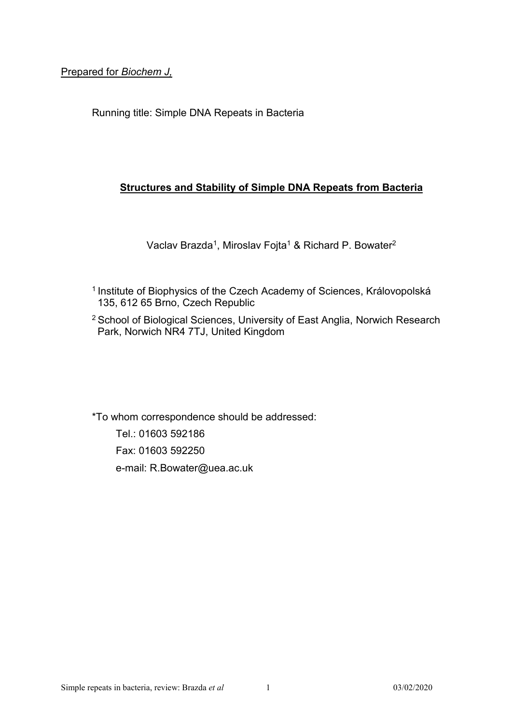Prepared for *Biochem J,* 

Running title: Simple DNA Repeats in Bacteria

# **Structures and Stability of Simple DNA Repeats from Bacteria**

Vaclav Brazda<sup>1</sup>, Miroslav Fojta<sup>1</sup> & Richard P. Bowater<sup>2</sup>

- <sup>1</sup> Institute of Biophysics of the Czech Academy of Sciences, Královopolská 135, 612 65 Brno, Czech Republic
- <sup>2</sup> School of Biological Sciences, University of East Anglia, Norwich Research Park, Norwich NR4 7TJ, United Kingdom

\*To whom correspondence should be addressed: Tel.: 01603 592186 Fax: 01603 592250 e-mail: R.Bowater@uea.ac.uk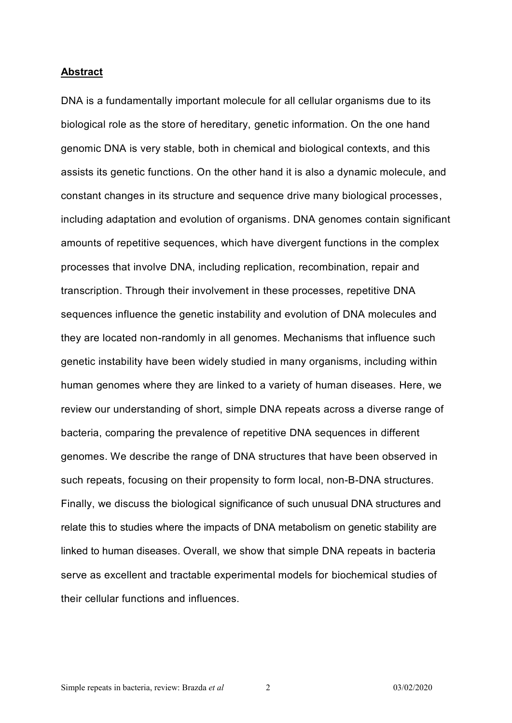#### **Abstract**

DNA is a fundamentally important molecule for all cellular organisms due to its biological role as the store of hereditary, genetic information. On the one hand genomic DNA is very stable, both in chemical and biological contexts, and this assists its genetic functions. On the other hand it is also a dynamic molecule, and constant changes in its structure and sequence drive many biological processes, including adaptation and evolution of organisms. DNA genomes contain significant amounts of repetitive sequences, which have divergent functions in the complex processes that involve DNA, including replication, recombination, repair and transcription. Through their involvement in these processes, repetitive DNA sequences influence the genetic instability and evolution of DNA molecules and they are located non-randomly in all genomes. Mechanisms that influence such genetic instability have been widely studied in many organisms, including within human genomes where they are linked to a variety of human diseases. Here, we review our understanding of short, simple DNA repeats across a diverse range of bacteria, comparing the prevalence of repetitive DNA sequences in different genomes. We describe the range of DNA structures that have been observed in such repeats, focusing on their propensity to form local, non-B-DNA structures. Finally, we discuss the biological significance of such unusual DNA structures and relate this to studies where the impacts of DNA metabolism on genetic stability are linked to human diseases. Overall, we show that simple DNA repeats in bacteria serve as excellent and tractable experimental models for biochemical studies of their cellular functions and influences.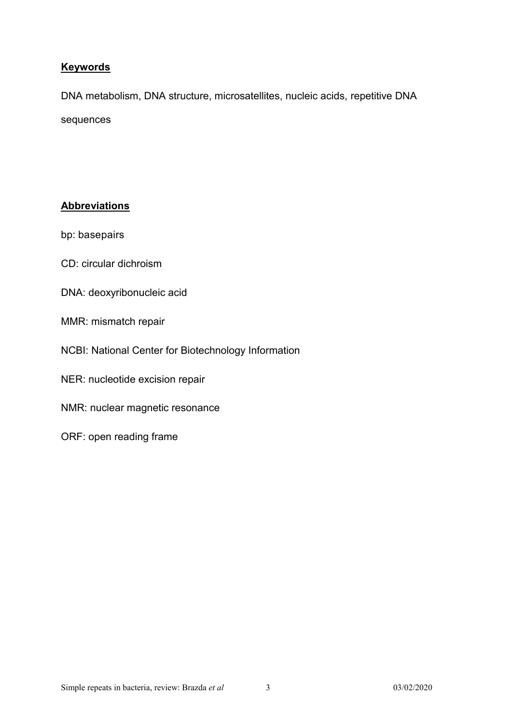# **Keywords**

DNA metabolism, DNA structure, microsatellites, nucleic acids, repetitive DNA sequences

# **Abbreviations**

bp: basepairs

- CD: circular dichroism
- DNA: deoxyribonucleic acid
- MMR: mismatch repair
- NCBI: National Center for Biotechnology Information
- NER: nucleotide excision repair
- NMR: nuclear magnetic resonance
- ORF: open reading frame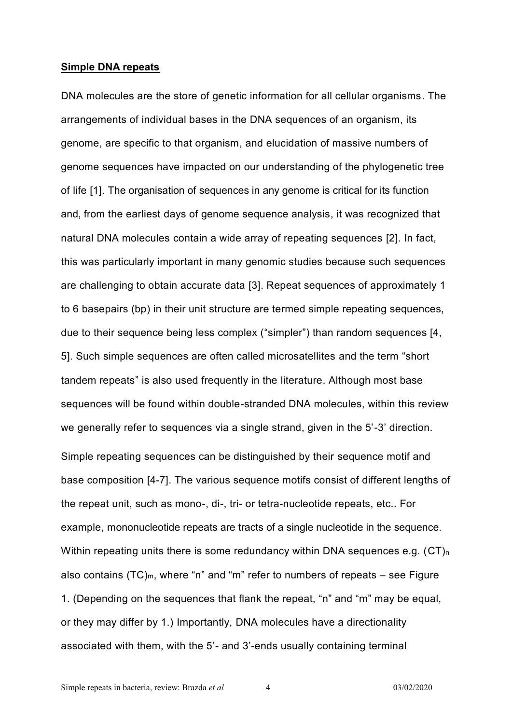### **Simple DNA repeats**

DNA molecules are the store of genetic information for all cellular organisms. The arrangements of individual bases in the DNA sequences of an organism, its genome, are specific to that organism, and elucidation of massive numbers of genome sequences have impacted on our understanding of the phylogenetic tree of life [1]. The organisation of sequences in any genome is critical for its function and, from the earliest days of genome sequence analysis, it was recognized that natural DNA molecules contain a wide array of repeating sequences [2]. In fact, this was particularly important in many genomic studies because such sequences are challenging to obtain accurate data [3]. Repeat sequences of approximately 1 to 6 basepairs (bp) in their unit structure are termed simple repeating sequences, due to their sequence being less complex ("simpler") than random sequences [4, 5]. Such simple sequences are often called microsatellites and the term "short tandem repeats" is also used frequently in the literature. Although most base sequences will be found within double-stranded DNA molecules, within this review we generally refer to sequences via a single strand, given in the 5'-3' direction. Simple repeating sequences can be distinguished by their sequence motif and base composition [4-7]. The various sequence motifs consist of different lengths of the repeat unit, such as mono-, di-, tri- or tetra-nucleotide repeats, etc.. For example, mononucleotide repeats are tracts of a single nucleotide in the sequence. Within repeating units there is some redundancy within DNA sequences e.g.  $(CT)<sub>n</sub>$ also contains  $(TC)_{m}$ , where "n" and "m" refer to numbers of repeats – see Figure 1. (Depending on the sequences that flank the repeat, "n" and "m" may be equal, or they may differ by 1.) Importantly, DNA molecules have a directionality associated with them, with the 5'- and 3'-ends usually containing terminal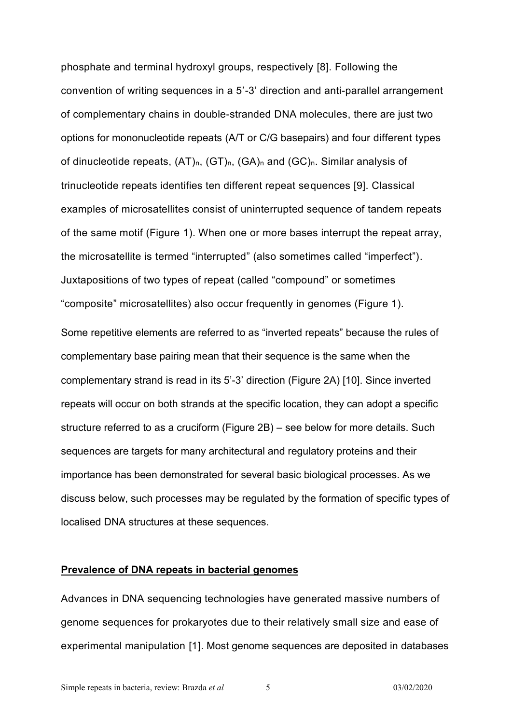phosphate and terminal hydroxyl groups, respectively [8]. Following the convention of writing sequences in a 5'-3' direction and anti-parallel arrangement of complementary chains in double-stranded DNA molecules, there are just two options for mononucleotide repeats (A/T or C/G basepairs) and four different types of dinucleotide repeats,  $(AT)_n$ ,  $(GT)_n$ ,  $(GA)_n$  and  $(GC)_n$ . Similar analysis of trinucleotide repeats identifies ten different repeat sequences [9]. Classical examples of microsatellites consist of uninterrupted sequence of tandem repeats of the same motif (Figure 1). When one or more bases interrupt the repeat array, the microsatellite is termed "interrupted" (also sometimes called "imperfect"). Juxtapositions of two types of repeat (called "compound" or sometimes "composite" microsatellites) also occur frequently in genomes (Figure 1).

Some repetitive elements are referred to as "inverted repeats" because the rules of complementary base pairing mean that their sequence is the same when the complementary strand is read in its 5'-3' direction (Figure 2A) [10]. Since inverted repeats will occur on both strands at the specific location, they can adopt a specific structure referred to as a cruciform (Figure 2B) – see below for more details. Such sequences are targets for many architectural and regulatory proteins and their importance has been demonstrated for several basic biological processes. As we discuss below, such processes may be regulated by the formation of specific types of localised DNA structures at these sequences.

### **Prevalence of DNA repeats in bacterial genomes**

Advances in DNA sequencing technologies have generated massive numbers of genome sequences for prokaryotes due to their relatively small size and ease of experimental manipulation [1]. Most genome sequences are deposited in databases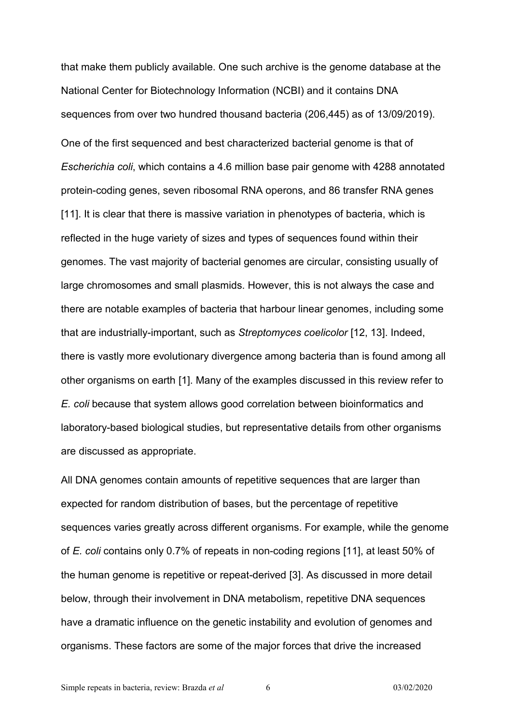that make them publicly available. One such archive is the genome database at the National Center for Biotechnology Information (NCBI) and it contains DNA sequences from over two hundred thousand bacteria (206,445) as of 13/09/2019). One of the first sequenced and best characterized bacterial genome is that of *Escherichia coli*, which contains a 4.6 million base pair genome with 4288 annotated protein-coding genes, seven ribosomal RNA operons, and 86 transfer RNA genes [11]. It is clear that there is massive variation in phenotypes of bacteria, which is reflected in the huge variety of sizes and types of sequences found within their genomes. The vast majority of bacterial genomes are circular, consisting usually of large chromosomes and small plasmids. However, this is not always the case and there are notable examples of bacteria that harbour linear genomes, including some that are industrially-important, such as *Streptomyces coelicolor* [12, 13]. Indeed, there is vastly more evolutionary divergence among bacteria than is found among all other organisms on earth [1]. Many of the examples discussed in this review refer to *E. coli* because that system allows good correlation between bioinformatics and laboratory-based biological studies, but representative details from other organisms are discussed as appropriate.

All DNA genomes contain amounts of repetitive sequences that are larger than expected for random distribution of bases, but the percentage of repetitive sequences varies greatly across different organisms. For example, while the genome of *E. coli* contains only 0.7% of repeats in non-coding regions [11], at least 50% of the human genome is repetitive or repeat-derived [3]. As discussed in more detail below, through their involvement in DNA metabolism, repetitive DNA sequences have a dramatic influence on the genetic instability and evolution of genomes and organisms. These factors are some of the major forces that drive the increased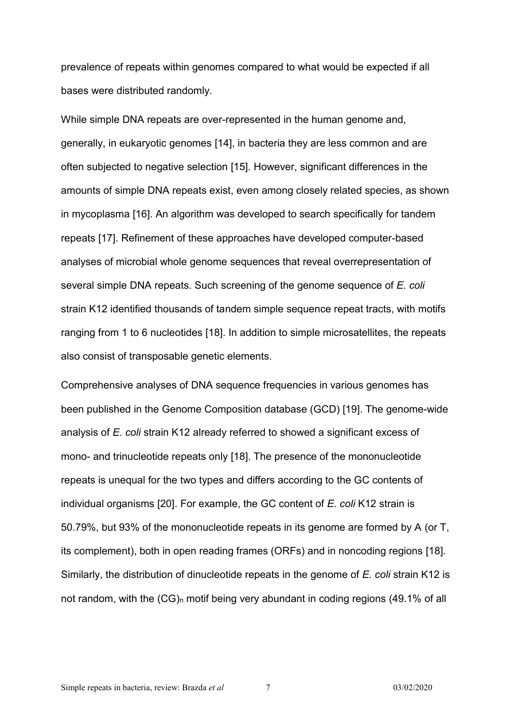prevalence of repeats within genomes compared to what would be expected if all bases were distributed randomly.

While simple DNA repeats are over-represented in the human genome and, generally, in eukaryotic genomes [14], in bacteria they are less common and are often subjected to negative selection [15]. However, significant differences in the amounts of simple DNA repeats exist, even among closely related species, as shown in mycoplasma [16]. An algorithm was developed to search specifically for tandem repeats [17]. Refinement of these approaches have developed computer-based analyses of microbial whole genome sequences that reveal overrepresentation of several simple DNA repeats. Such screening of the genome sequence of *E. coli* strain K12 identified thousands of tandem simple sequence repeat tracts, with motifs ranging from 1 to 6 nucleotides [18]. In addition to simple microsatellites, the repeats also consist of transposable genetic elements.

Comprehensive analyses of DNA sequence frequencies in various genomes has been published in the Genome Composition database (GCD) [19]. The genome-wide analysis of *E. coli* strain K12 already referred to showed a significant excess of mono- and trinucleotide repeats only [18]. The presence of the mononucleotide repeats is unequal for the two types and differs according to the GC contents of individual organisms [20]. For example, the GC content of *E. coli* K12 strain is 50.79%, but 93% of the mononucleotide repeats in its genome are formed by A (or T, its complement), both in open reading frames (ORFs) and in noncoding regions [18]. Similarly, the distribution of dinucleotide repeats in the genome of *E. coli* strain K12 is not random, with the  $(CG)_{n}$  motif being very abundant in coding regions (49.1% of all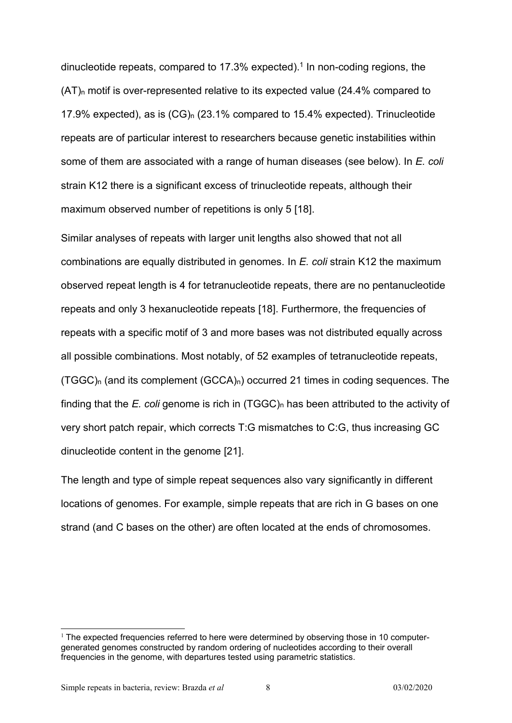dinucleotide repeats, compared to 17.3% expected).<sup>1</sup> In non-coding regions, the  $(AT)$ <sub>n</sub> motif is over-represented relative to its expected value (24.4% compared to 17.9% expected), as is (CG)<sup>n</sup> (23.1% compared to 15.4% expected). Trinucleotide repeats are of particular interest to researchers because genetic instabilities within some of them are associated with a range of human diseases (see below). In *E. coli* strain K12 there is a significant excess of trinucleotide repeats, although their maximum observed number of repetitions is only 5 [18].

Similar analyses of repeats with larger unit lengths also showed that not all combinations are equally distributed in genomes. In *E. coli* strain K12 the maximum observed repeat length is 4 for tetranucleotide repeats, there are no pentanucleotide repeats and only 3 hexanucleotide repeats [18]. Furthermore, the frequencies of repeats with a specific motif of 3 and more bases was not distributed equally across all possible combinations. Most notably, of 52 examples of tetranucleotide repeats,  $(TGGC)_{n}$  (and its complement  $(GCCA)_{n}$ ) occurred 21 times in coding sequences. The finding that the *E. coli* genome is rich in (TGGC)<sub>n</sub> has been attributed to the activity of very short patch repair, which corrects T:G mismatches to C:G, thus increasing GC dinucleotide content in the genome [21].

The length and type of simple repeat sequences also vary significantly in different locations of genomes. For example, simple repeats that are rich in G bases on one strand (and C bases on the other) are often located at the ends of chromosomes.

 $\overline{a}$ 

 $1$  The expected frequencies referred to here were determined by observing those in 10 computergenerated genomes constructed by random ordering of nucleotides according to their overall frequencies in the genome, with departures tested using parametric statistics.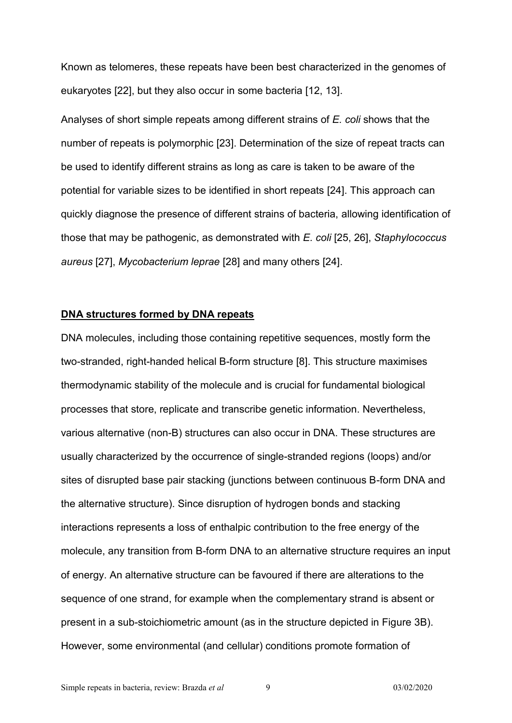Known as telomeres, these repeats have been best characterized in the genomes of eukaryotes [22], but they also occur in some bacteria [12, 13].

Analyses of short simple repeats among different strains of *E. coli* shows that the number of repeats is polymorphic [23]. Determination of the size of repeat tracts can be used to identify different strains as long as care is taken to be aware of the potential for variable sizes to be identified in short repeats [24]. This approach can quickly diagnose the presence of different strains of bacteria, allowing identification of those that may be pathogenic, as demonstrated with *E. coli* [25, 26], *Staphylococcus aureus* [27], *Mycobacterium leprae* [28] and many others [24].

### **DNA structures formed by DNA repeats**

DNA molecules, including those containing repetitive sequences, mostly form the two-stranded, right-handed helical B-form structure [8]. This structure maximises thermodynamic stability of the molecule and is crucial for fundamental biological processes that store, replicate and transcribe genetic information. Nevertheless, various alternative (non-B) structures can also occur in DNA. These structures are usually characterized by the occurrence of single-stranded regions (loops) and/or sites of disrupted base pair stacking (junctions between continuous B-form DNA and the alternative structure). Since disruption of hydrogen bonds and stacking interactions represents a loss of enthalpic contribution to the free energy of the molecule, any transition from B-form DNA to an alternative structure requires an input of energy. An alternative structure can be favoured if there are alterations to the sequence of one strand, for example when the complementary strand is absent or present in a sub-stoichiometric amount (as in the structure depicted in Figure 3B). However, some environmental (and cellular) conditions promote formation of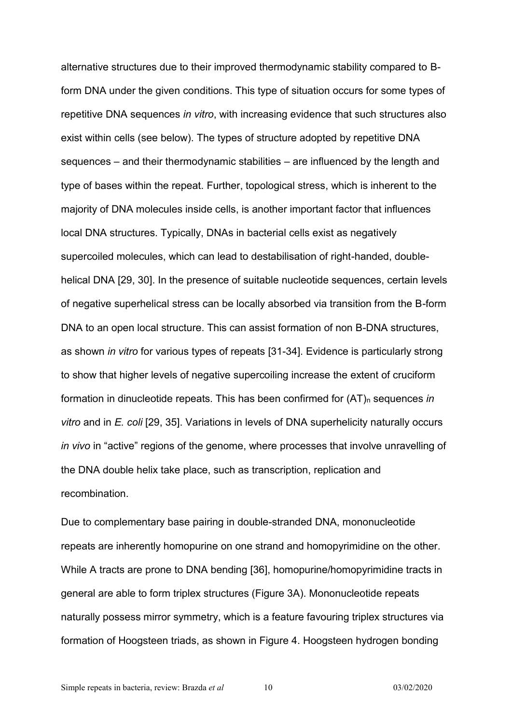alternative structures due to their improved thermodynamic stability compared to Bform DNA under the given conditions. This type of situation occurs for some types of repetitive DNA sequences *in vitro*, with increasing evidence that such structures also exist within cells (see below). The types of structure adopted by repetitive DNA sequences – and their thermodynamic stabilities – are influenced by the length and type of bases within the repeat. Further, topological stress, which is inherent to the majority of DNA molecules inside cells, is another important factor that influences local DNA structures. Typically, DNAs in bacterial cells exist as negatively supercoiled molecules, which can lead to destabilisation of right-handed, doublehelical DNA [29, 30]. In the presence of suitable nucleotide sequences, certain levels of negative superhelical stress can be locally absorbed via transition from the B-form DNA to an open local structure. This can assist formation of non B-DNA structures, as shown *in vitro* for various types of repeats [31-34]. Evidence is particularly strong to show that higher levels of negative supercoiling increase the extent of cruciform formation in dinucleotide repeats. This has been confirmed for  $(AT)<sub>n</sub>$  sequences *in vitro* and in *E. coli* [29, 35]. Variations in levels of DNA superhelicity naturally occurs *in vivo* in "active" regions of the genome, where processes that involve unravelling of the DNA double helix take place, such as transcription, replication and recombination.

Due to complementary base pairing in double-stranded DNA, mononucleotide repeats are inherently homopurine on one strand and homopyrimidine on the other. While A tracts are prone to DNA bending [36], homopurine/homopyrimidine tracts in general are able to form triplex structures (Figure 3A). Mononucleotide repeats naturally possess mirror symmetry, which is a feature favouring triplex structures via formation of Hoogsteen triads, as shown in Figure 4. Hoogsteen hydrogen bonding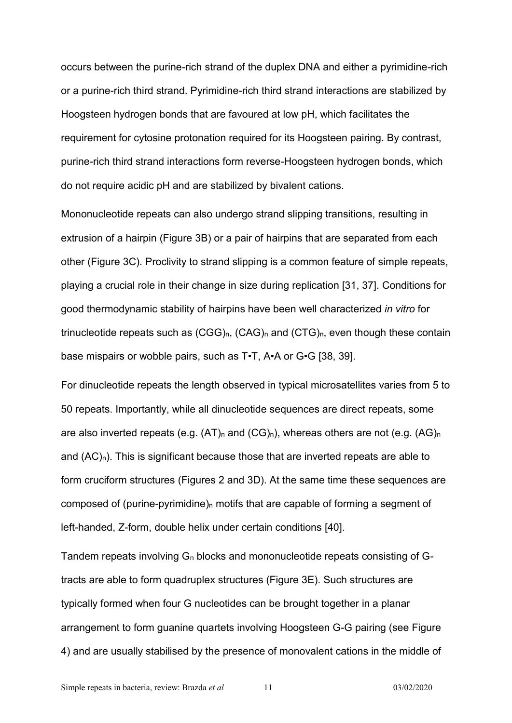occurs between the purine-rich strand of the duplex DNA and either a pyrimidine-rich or a purine-rich third strand. Pyrimidine-rich third strand interactions are stabilized by Hoogsteen hydrogen bonds that are favoured at low pH, which facilitates the requirement for cytosine protonation required for its Hoogsteen pairing. By contrast, purine-rich third strand interactions form reverse-Hoogsteen hydrogen bonds, which do not require acidic pH and are stabilized by bivalent cations.

Mononucleotide repeats can also undergo strand slipping transitions, resulting in extrusion of a hairpin (Figure 3B) or a pair of hairpins that are separated from each other (Figure 3C). Proclivity to strand slipping is a common feature of simple repeats, playing a crucial role in their change in size during replication [31, 37]. Conditions for good thermodynamic stability of hairpins have been well characterized *in vitro* for trinucleotide repeats such as  $(CGG)_{n}$ ,  $(CAG)_{n}$  and  $(CTG)_{n}$ , even though these contain base mispairs or wobble pairs, such as T•T, A•A or G•G [38, 39].

For dinucleotide repeats the length observed in typical microsatellites varies from 5 to 50 repeats. Importantly, while all dinucleotide sequences are direct repeats, some are also inverted repeats (e.g.  $(AT)_n$  and  $(CG)_n$ ), whereas others are not (e.g.  $(AG)_n$ and  $(AC)<sub>n</sub>$ ). This is significant because those that are inverted repeats are able to form cruciform structures (Figures 2 and 3D). At the same time these sequences are composed of (purine-pyrimidine) $<sub>n</sub>$  motifs that are capable of forming a segment of</sub> left-handed, Z-form, double helix under certain conditions [40].

Tandem repeats involving  $G_n$  blocks and mononucleotide repeats consisting of  $G$ tracts are able to form quadruplex structures (Figure 3E). Such structures are typically formed when four G nucleotides can be brought together in a planar arrangement to form guanine quartets involving Hoogsteen G-G pairing (see Figure 4) and are usually stabilised by the presence of monovalent cations in the middle of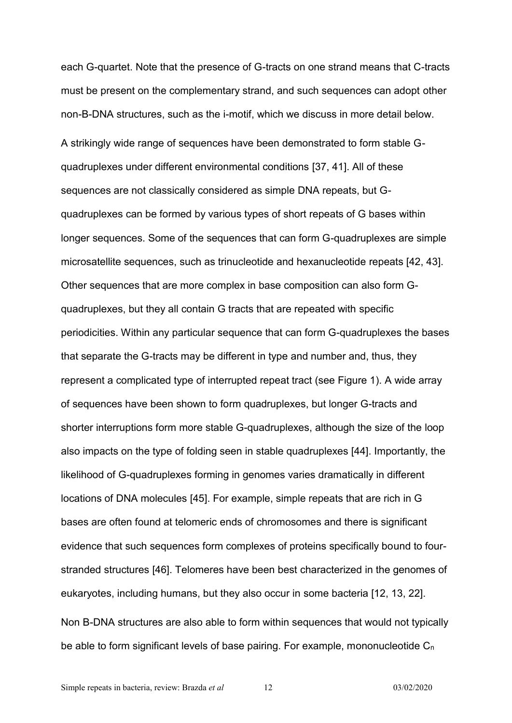each G-quartet. Note that the presence of G-tracts on one strand means that C-tracts must be present on the complementary strand, and such sequences can adopt other non-B-DNA structures, such as the i-motif, which we discuss in more detail below. A strikingly wide range of sequences have been demonstrated to form stable Gquadruplexes under different environmental conditions [37, 41]. All of these sequences are not classically considered as simple DNA repeats, but Gquadruplexes can be formed by various types of short repeats of G bases within longer sequences. Some of the sequences that can form G-quadruplexes are simple microsatellite sequences, such as trinucleotide and hexanucleotide repeats [42, 43]. Other sequences that are more complex in base composition can also form Gquadruplexes, but they all contain G tracts that are repeated with specific periodicities. Within any particular sequence that can form G-quadruplexes the bases that separate the G-tracts may be different in type and number and, thus, they represent a complicated type of interrupted repeat tract (see Figure 1). A wide array of sequences have been shown to form quadruplexes, but longer G-tracts and shorter interruptions form more stable G-quadruplexes, although the size of the loop also impacts on the type of folding seen in stable quadruplexes [44]. Importantly, the likelihood of G-quadruplexes forming in genomes varies dramatically in different locations of DNA molecules [45]. For example, simple repeats that are rich in G bases are often found at telomeric ends of chromosomes and there is significant evidence that such sequences form complexes of proteins specifically bound to fourstranded structures [46]. Telomeres have been best characterized in the genomes of eukaryotes, including humans, but they also occur in some bacteria [12, 13, 22]. Non B-DNA structures are also able to form within sequences that would not typically be able to form significant levels of base pairing. For example, mononucleotide C<sub>n</sub>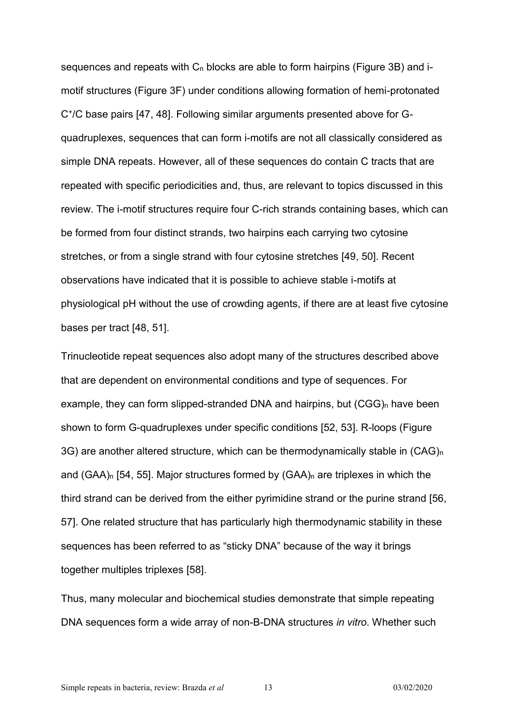sequences and repeats with  $C_n$  blocks are able to form hairpins (Figure 3B) and imotif structures (Figure 3F) under conditions allowing formation of hemi-protonated C<sup>+</sup> /C base pairs [47, 48]. Following similar arguments presented above for Gquadruplexes, sequences that can form i-motifs are not all classically considered as simple DNA repeats. However, all of these sequences do contain C tracts that are repeated with specific periodicities and, thus, are relevant to topics discussed in this review. The i-motif structures require four C-rich strands containing bases, which can be formed from four distinct strands, two hairpins each carrying two cytosine stretches, or from a single strand with four cytosine stretches [49, 50]. Recent observations have indicated that it is possible to achieve stable i-motifs at physiological pH without the use of crowding agents, if there are at least five cytosine bases per tract [48, 51].

Trinucleotide repeat sequences also adopt many of the structures described above that are dependent on environmental conditions and type of sequences. For example, they can form slipped-stranded DNA and hairpins, but  $(CGG)_{n}$  have been shown to form G-quadruplexes under specific conditions [52, 53]. R-loops (Figure 3G) are another altered structure, which can be thermodynamically stable in (CAG)<sup>n</sup> and  $(GAA)_{n}$  [54, 55]. Major structures formed by  $(GAA)_{n}$  are triplexes in which the third strand can be derived from the either pyrimidine strand or the purine strand [56, 57]. One related structure that has particularly high thermodynamic stability in these sequences has been referred to as "sticky DNA" because of the way it brings together multiples triplexes [58].

Thus, many molecular and biochemical studies demonstrate that simple repeating DNA sequences form a wide array of non-B-DNA structures *in vitro*. Whether such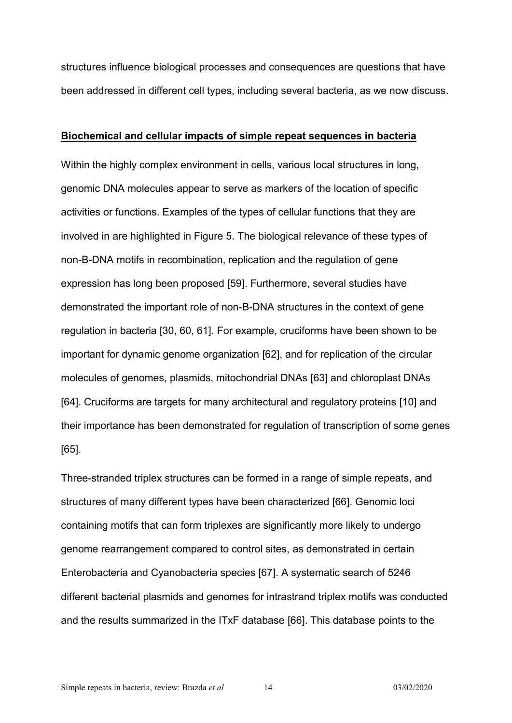structures influence biological processes and consequences are questions that have been addressed in different cell types, including several bacteria, as we now discuss.

#### **Biochemical and cellular impacts of simple repeat sequences in bacteria**

Within the highly complex environment in cells, various local structures in long, genomic DNA molecules appear to serve as markers of the location of specific activities or functions. Examples of the types of cellular functions that they are involved in are highlighted in Figure 5. The biological relevance of these types of non-B-DNA motifs in recombination, replication and the regulation of gene expression has long been proposed [59]. Furthermore, several studies have demonstrated the important role of non-B-DNA structures in the context of gene regulation in bacteria [30, 60, 61]. For example, cruciforms have been shown to be important for dynamic genome organization [62], and for replication of the circular molecules of genomes, plasmids, mitochondrial DNAs [63] and chloroplast DNAs [64]. Cruciforms are targets for many architectural and regulatory proteins [10] and their importance has been demonstrated for regulation of transcription of some genes [65].

Three-stranded triplex structures can be formed in a range of simple repeats, and structures of many different types have been characterized [66]. Genomic loci containing motifs that can form triplexes are significantly more likely to undergo genome rearrangement compared to control sites, as demonstrated in certain Enterobacteria and Cyanobacteria species [67]. A systematic search of 5246 different bacterial plasmids and genomes for intrastrand triplex motifs was conducted and the results summarized in the ITxF database [66]. This database points to the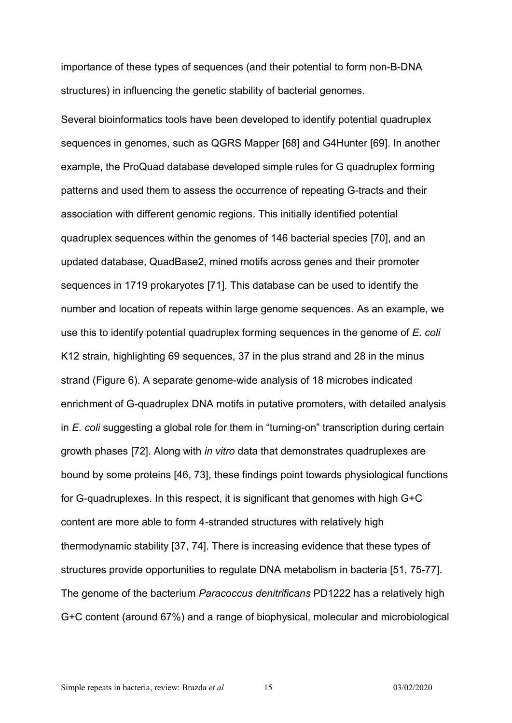importance of these types of sequences (and their potential to form non-B-DNA structures) in influencing the genetic stability of bacterial genomes.

Several bioinformatics tools have been developed to identify potential quadruplex sequences in genomes, such as QGRS Mapper [68] and G4Hunter [69]. In another example, the ProQuad database developed simple rules for G quadruplex forming patterns and used them to assess the occurrence of repeating G-tracts and their association with different genomic regions. This initially identified potential quadruplex sequences within the genomes of 146 bacterial species [70], and an updated database, QuadBase2, mined motifs across genes and their promoter sequences in 1719 prokaryotes [71]. This database can be used to identify the number and location of repeats within large genome sequences. As an example, we use this to identify potential quadruplex forming sequences in the genome of *E. coli* K12 strain, highlighting 69 sequences, 37 in the plus strand and 28 in the minus strand (Figure 6). A separate genome-wide analysis of 18 microbes indicated enrichment of G-quadruplex DNA motifs in putative promoters, with detailed analysis in *E. coli* suggesting a global role for them in "turning-on" transcription during certain growth phases [72]. Along with *in vitro* data that demonstrates quadruplexes are bound by some proteins [46, 73], these findings point towards physiological functions for G-quadruplexes. In this respect, it is significant that genomes with high G+C content are more able to form 4-stranded structures with relatively high thermodynamic stability [37, 74]. There is increasing evidence that these types of structures provide opportunities to regulate DNA metabolism in bacteria [51, 75-77]. The genome of the bacterium *Paracoccus denitrificans* PD1222 has a relatively high G+C content (around 67%) and a range of biophysical, molecular and microbiological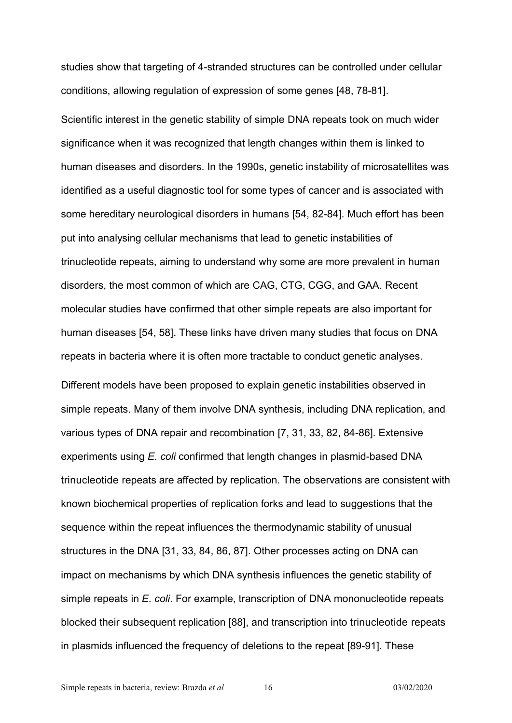studies show that targeting of 4-stranded structures can be controlled under cellular conditions, allowing regulation of expression of some genes [48, 78-81].

Scientific interest in the genetic stability of simple DNA repeats took on much wider significance when it was recognized that length changes within them is linked to human diseases and disorders. In the 1990s, genetic instability of microsatellites was identified as a useful diagnostic tool for some types of cancer and is associated with some hereditary neurological disorders in humans [54, 82-84]. Much effort has been put into analysing cellular mechanisms that lead to genetic instabilities of trinucleotide repeats, aiming to understand why some are more prevalent in human disorders, the most common of which are CAG, CTG, CGG, and GAA. Recent molecular studies have confirmed that other simple repeats are also important for human diseases [54, 58]. These links have driven many studies that focus on DNA repeats in bacteria where it is often more tractable to conduct genetic analyses. Different models have been proposed to explain genetic instabilities observed in simple repeats. Many of them involve DNA synthesis, including DNA replication, and various types of DNA repair and recombination [7, 31, 33, 82, 84-86]. Extensive experiments using *E. coli* confirmed that length changes in plasmid-based DNA trinucleotide repeats are affected by replication. The observations are consistent with known biochemical properties of replication forks and lead to suggestions that the sequence within the repeat influences the thermodynamic stability of unusual structures in the DNA [31, 33, 84, 86, 87]. Other processes acting on DNA can impact on mechanisms by which DNA synthesis influences the genetic stability of simple repeats in *E. coli*. For example, transcription of DNA mononucleotide repeats blocked their subsequent replication [88], and transcription into trinucleotide repeats in plasmids influenced the frequency of deletions to the repeat [89-91]. These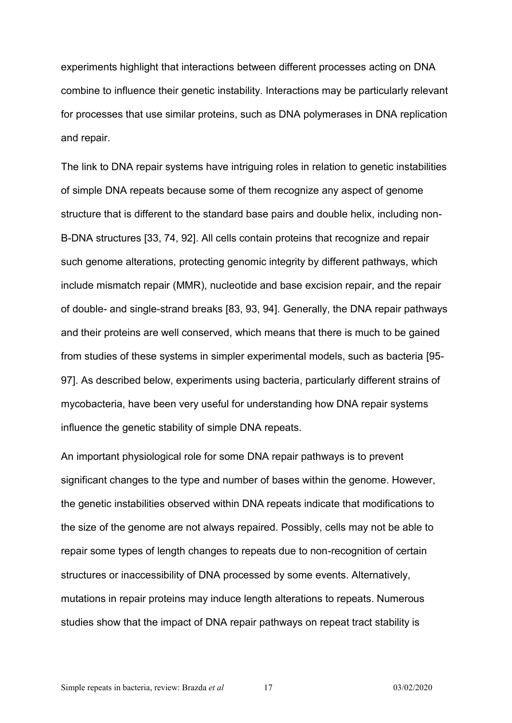experiments highlight that interactions between different processes acting on DNA combine to influence their genetic instability. Interactions may be particularly relevant for processes that use similar proteins, such as DNA polymerases in DNA replication and repair.

The link to DNA repair systems have intriguing roles in relation to genetic instabilities of simple DNA repeats because some of them recognize any aspect of genome structure that is different to the standard base pairs and double helix, including non-B-DNA structures [33, 74, 92]. All cells contain proteins that recognize and repair such genome alterations, protecting genomic integrity by different pathways, which include mismatch repair (MMR), nucleotide and base excision repair, and the repair of double- and single-strand breaks [83, 93, 94]. Generally, the DNA repair pathways and their proteins are well conserved, which means that there is much to be gained from studies of these systems in simpler experimental models, such as bacteria [95- 97]. As described below, experiments using bacteria, particularly different strains of mycobacteria, have been very useful for understanding how DNA repair systems influence the genetic stability of simple DNA repeats.

An important physiological role for some DNA repair pathways is to prevent significant changes to the type and number of bases within the genome. However, the genetic instabilities observed within DNA repeats indicate that modifications to the size of the genome are not always repaired. Possibly, cells may not be able to repair some types of length changes to repeats due to non-recognition of certain structures or inaccessibility of DNA processed by some events. Alternatively, mutations in repair proteins may induce length alterations to repeats. Numerous studies show that the impact of DNA repair pathways on repeat tract stability is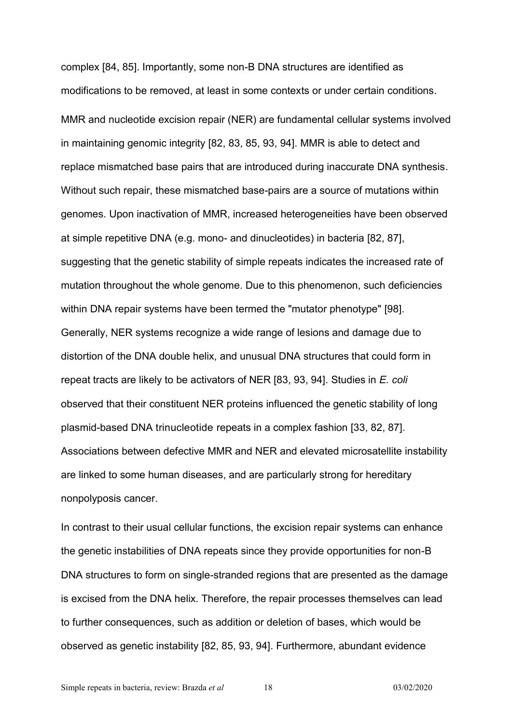complex [84, 85]. Importantly, some non-B DNA structures are identified as modifications to be removed, at least in some contexts or under certain conditions. MMR and nucleotide excision repair (NER) are fundamental cellular systems involved in maintaining genomic integrity [82, 83, 85, 93, 94]. MMR is able to detect and replace mismatched base pairs that are introduced during inaccurate DNA synthesis. Without such repair, these mismatched base-pairs are a source of mutations within genomes. Upon inactivation of MMR, increased heterogeneities have been observed at simple repetitive DNA (e.g. mono- and dinucleotides) in bacteria [82, 87], suggesting that the genetic stability of simple repeats indicates the increased rate of mutation throughout the whole genome. Due to this phenomenon, such deficiencies within DNA repair systems have been termed the "mutator phenotype" [98]. Generally, NER systems recognize a wide range of lesions and damage due to distortion of the DNA double helix, and unusual DNA structures that could form in repeat tracts are likely to be activators of NER [83, 93, 94]. Studies in *E. coli* observed that their constituent NER proteins influenced the genetic stability of long plasmid-based DNA trinucleotide repeats in a complex fashion [33, 82, 87]. Associations between defective MMR and NER and elevated microsatellite instability are linked to some human diseases, and are particularly strong for hereditary nonpolyposis cancer.

In contrast to their usual cellular functions, the excision repair systems can enhance the genetic instabilities of DNA repeats since they provide opportunities for non-B DNA structures to form on single-stranded regions that are presented as the damage is excised from the DNA helix. Therefore, the repair processes themselves can lead to further consequences, such as addition or deletion of bases, which would be observed as genetic instability [82, 85, 93, 94]. Furthermore, abundant evidence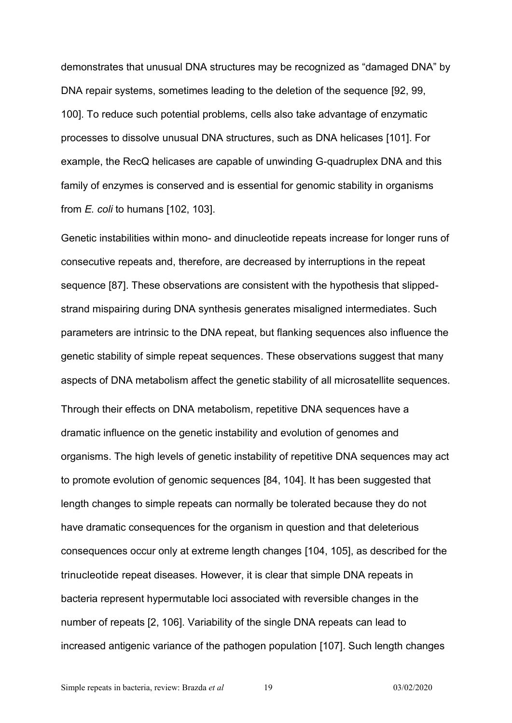demonstrates that unusual DNA structures may be recognized as "damaged DNA" by DNA repair systems, sometimes leading to the deletion of the sequence [92, 99, 100]. To reduce such potential problems, cells also take advantage of enzymatic processes to dissolve unusual DNA structures, such as DNA helicases [101]. For example, the RecQ helicases are capable of unwinding G-quadruplex DNA and this family of enzymes is conserved and is essential for genomic stability in organisms from *E. coli* to humans [102, 103].

Genetic instabilities within mono- and dinucleotide repeats increase for longer runs of consecutive repeats and, therefore, are decreased by interruptions in the repeat sequence [87]. These observations are consistent with the hypothesis that slippedstrand mispairing during DNA synthesis generates misaligned intermediates. Such parameters are intrinsic to the DNA repeat, but flanking sequences also influence the genetic stability of simple repeat sequences. These observations suggest that many aspects of DNA metabolism affect the genetic stability of all microsatellite sequences. Through their effects on DNA metabolism, repetitive DNA sequences have a dramatic influence on the genetic instability and evolution of genomes and organisms. The high levels of genetic instability of repetitive DNA sequences may act to promote evolution of genomic sequences [84, 104]. It has been suggested that length changes to simple repeats can normally be tolerated because they do not have dramatic consequences for the organism in question and that deleterious consequences occur only at extreme length changes [104, 105], as described for the trinucleotide repeat diseases. However, it is clear that simple DNA repeats in bacteria represent hypermutable loci associated with reversible changes in the number of repeats [2, 106]. Variability of the single DNA repeats can lead to increased antigenic variance of the pathogen population [107]. Such length changes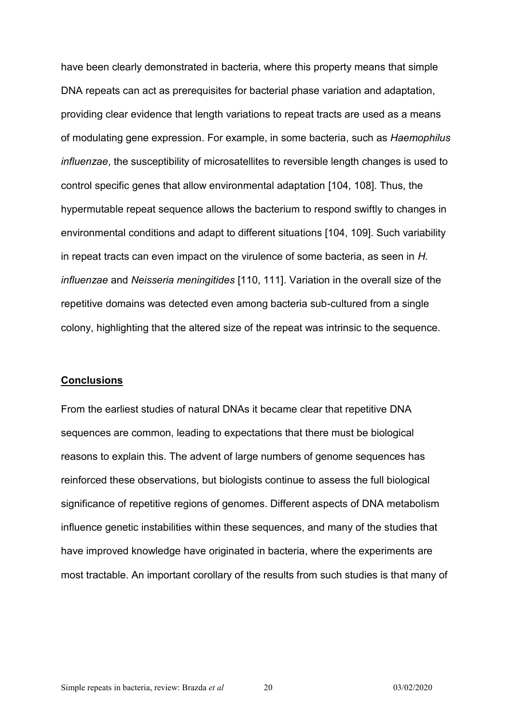have been clearly demonstrated in bacteria, where this property means that simple DNA repeats can act as prerequisites for bacterial phase variation and adaptation, providing clear evidence that length variations to repeat tracts are used as a means of modulating gene expression. For example, in some bacteria, such as *Haemophilus influenzae*, the susceptibility of microsatellites to reversible length changes is used to control specific genes that allow environmental adaptation [104, 108]. Thus, the hypermutable repeat sequence allows the bacterium to respond swiftly to changes in environmental conditions and adapt to different situations [104, 109]. Such variability in repeat tracts can even impact on the virulence of some bacteria, as seen in *H. influenzae* and *Neisseria meningitides* [110, 111]. Variation in the overall size of the repetitive domains was detected even among bacteria sub-cultured from a single colony, highlighting that the altered size of the repeat was intrinsic to the sequence.

#### **Conclusions**

From the earliest studies of natural DNAs it became clear that repetitive DNA sequences are common, leading to expectations that there must be biological reasons to explain this. The advent of large numbers of genome sequences has reinforced these observations, but biologists continue to assess the full biological significance of repetitive regions of genomes. Different aspects of DNA metabolism influence genetic instabilities within these sequences, and many of the studies that have improved knowledge have originated in bacteria, where the experiments are most tractable. An important corollary of the results from such studies is that many of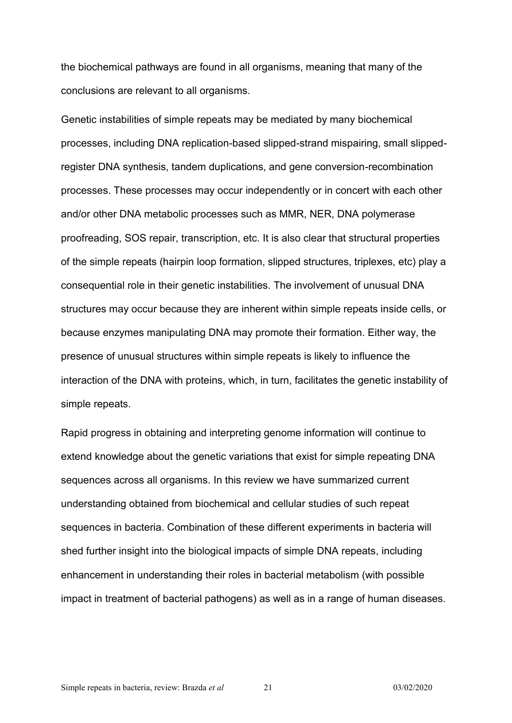the biochemical pathways are found in all organisms, meaning that many of the conclusions are relevant to all organisms.

Genetic instabilities of simple repeats may be mediated by many biochemical processes, including DNA replication-based slipped-strand mispairing, small slippedregister DNA synthesis, tandem duplications, and gene conversion-recombination processes. These processes may occur independently or in concert with each other and/or other DNA metabolic processes such as MMR, NER, DNA polymerase proofreading, SOS repair, transcription, etc. It is also clear that structural properties of the simple repeats (hairpin loop formation, slipped structures, triplexes, etc) play a consequential role in their genetic instabilities. The involvement of unusual DNA structures may occur because they are inherent within simple repeats inside cells, or because enzymes manipulating DNA may promote their formation. Either way, the presence of unusual structures within simple repeats is likely to influence the interaction of the DNA with proteins, which, in turn, facilitates the genetic instability of simple repeats.

Rapid progress in obtaining and interpreting genome information will continue to extend knowledge about the genetic variations that exist for simple repeating DNA sequences across all organisms. In this review we have summarized current understanding obtained from biochemical and cellular studies of such repeat sequences in bacteria. Combination of these different experiments in bacteria will shed further insight into the biological impacts of simple DNA repeats, including enhancement in understanding their roles in bacterial metabolism (with possible impact in treatment of bacterial pathogens) as well as in a range of human diseases.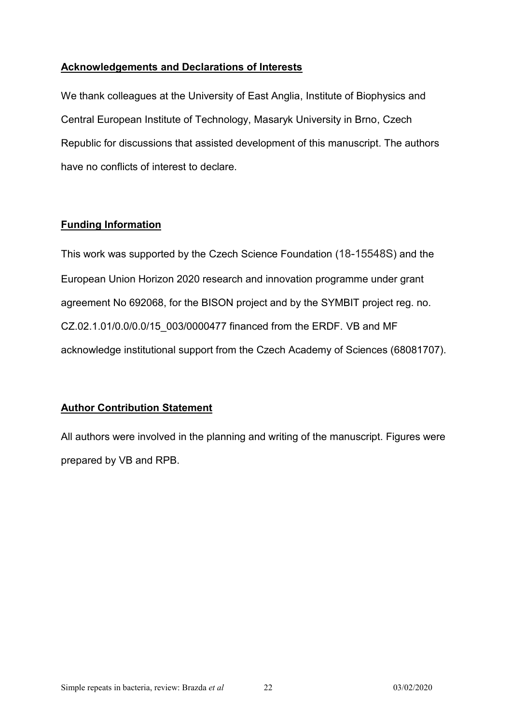## **Acknowledgements and Declarations of Interests**

We thank colleagues at the University of East Anglia, Institute of Biophysics and Central European Institute of Technology, Masaryk University in Brno, Czech Republic for discussions that assisted development of this manuscript. The authors have no conflicts of interest to declare.

# **Funding Information**

This work was supported by the Czech Science Foundation (18-15548S) and the European Union Horizon 2020 research and innovation programme under grant agreement No 692068, for the BISON project and by the SYMBIT project reg. no. CZ.02.1.01/0.0/0.0/15\_003/0000477 financed from the ERDF. VB and MF acknowledge institutional support from the Czech Academy of Sciences (68081707).

## **Author Contribution Statement**

All authors were involved in the planning and writing of the manuscript. Figures were prepared by VB and RPB.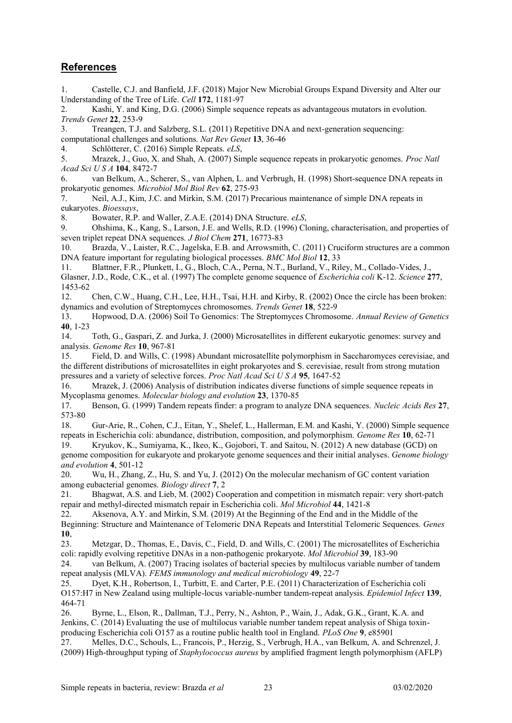## **References**

1. Castelle, C.J. and Banfield, J.F. (2018) Major New Microbial Groups Expand Diversity and Alter our Understanding of the Tree of Life. *Cell* **172**, 1181-97

2. Kashi, Y. and King, D.G. (2006) Simple sequence repeats as advantageous mutators in evolution. *Trends Genet* **22**, 253-9

3. Treangen, T.J. and Salzberg, S.L. (2011) Repetitive DNA and next-generation sequencing: computational challenges and solutions. *Nat Rev Genet* **13**, 36-46

4. Schlötterer, C. (2016) Simple Repeats. *eLS*,

5. Mrazek, J., Guo, X. and Shah, A. (2007) Simple sequence repeats in prokaryotic genomes. *Proc Natl Acad Sci U S A* **104**, 8472-7

6. van Belkum, A., Scherer, S., van Alphen, L. and Verbrugh, H. (1998) Short-sequence DNA repeats in prokaryotic genomes. *Microbiol Mol Biol Rev* **62**, 275-93

7. Neil, A.J., Kim, J.C. and Mirkin, S.M. (2017) Precarious maintenance of simple DNA repeats in eukaryotes. *Bioessays*,

8. Bowater, R.P. and Waller, Z.A.E. (2014) DNA Structure. *eLS*,

9. Ohshima, K., Kang, S., Larson, J.E. and Wells, R.D. (1996) Cloning, characterisation, and properties of seven triplet repeat DNA sequences. *J Biol Chem* **271**, 16773-83

10. Brazda, V., Laister, R.C., Jagelska, E.B. and Arrowsmith, C. (2011) Cruciform structures are a common DNA feature important for regulating biological processes. *BMC Mol Biol* **12**, 33

11. Blattner, F.R., Plunkett, I., G., Bloch, C.A., Perna, N.T., Burland, V., Riley, M., Collado-Vides, J., Glasner, J.D., Rode, C.K., et al. (1997) The complete genome sequence of *Escherichia coli* K-12. *Science* **277**, 1453-62

12. Chen, C.W., Huang, C.H., Lee, H.H., Tsai, H.H. and Kirby, R. (2002) Once the circle has been broken: dynamics and evolution of Streptomyces chromosomes. *Trends Genet* **18**, 522-9

13. Hopwood, D.A. (2006) Soil To Genomics: The Streptomyces Chromosome. *Annual Review of Genetics* **40**, 1-23

14. Toth, G., Gaspari, Z. and Jurka, J. (2000) Microsatellites in different eukaryotic genomes: survey and analysis. *Genome Res* **10**, 967-81

15. Field, D. and Wills, C. (1998) Abundant microsatellite polymorphism in Saccharomyces cerevisiae, and the different distributions of microsatellites in eight prokaryotes and S. cerevisiae, result from strong mutation pressures and a variety of selective forces. *Proc Natl Acad Sci U S A* **95**, 1647-52

16. Mrazek, J. (2006) Analysis of distribution indicates diverse functions of simple sequence repeats in Mycoplasma genomes. *Molecular biology and evolution* **23**, 1370-85

17. Benson, G. (1999) Tandem repeats finder: a program to analyze DNA sequences. *Nucleic Acids Res* **27**, 573-80

18. Gur-Arie, R., Cohen, C.J., Eitan, Y., Shelef, L., Hallerman, E.M. and Kashi, Y. (2000) Simple sequence repeats in Escherichia coli: abundance, distribution, composition, and polymorphism. *Genome Res* **10**, 62-71

19. Kryukov, K., Sumiyama, K., Ikeo, K., Gojobori, T. and Saitou, N. (2012) A new database (GCD) on genome composition for eukaryote and prokaryote genome sequences and their initial analyses. *Genome biology and evolution* **4**, 501-12

20. Wu, H., Zhang, Z., Hu, S. and Yu, J. (2012) On the molecular mechanism of GC content variation among eubacterial genomes. *Biology direct* **7**, 2

21. Bhagwat, A.S. and Lieb, M. (2002) Cooperation and competition in mismatch repair: very short-patch repair and methyl-directed mismatch repair in Escherichia coli. *Mol Microbiol* **44**, 1421-8

22. Aksenova, A.Y. and Mirkin, S.M. (2019) At the Beginning of the End and in the Middle of the Beginning: Structure and Maintenance of Telomeric DNA Repeats and Interstitial Telomeric Sequences. *Genes* **10**,

23. Metzgar, D., Thomas, E., Davis, C., Field, D. and Wills, C. (2001) The microsatellites of Escherichia coli: rapidly evolving repetitive DNAs in a non-pathogenic prokaryote. *Mol Microbiol* **39**, 183-90

24. van Belkum, A. (2007) Tracing isolates of bacterial species by multilocus variable number of tandem repeat analysis (MLVA). *FEMS immunology and medical microbiology* **49**, 22-7

25. Dyet, K.H., Robertson, I., Turbitt, E. and Carter, P.E. (2011) Characterization of Escherichia coli O157:H7 in New Zealand using multiple-locus variable-number tandem-repeat analysis. *Epidemiol Infect* **139**, 464-71

26. Byrne, L., Elson, R., Dallman, T.J., Perry, N., Ashton, P., Wain, J., Adak, G.K., Grant, K.A. and Jenkins, C. (2014) Evaluating the use of multilocus variable number tandem repeat analysis of Shiga toxinproducing Escherichia coli O157 as a routine public health tool in England. *PLoS One* **9**, e85901

27. Melles, D.C., Schouls, L., Francois, P., Herzig, S., Verbrugh, H.A., van Belkum, A. and Schrenzel, J. (2009) High-throughput typing of *Staphylococcus aureus* by amplified fragment length polymorphism (AFLP)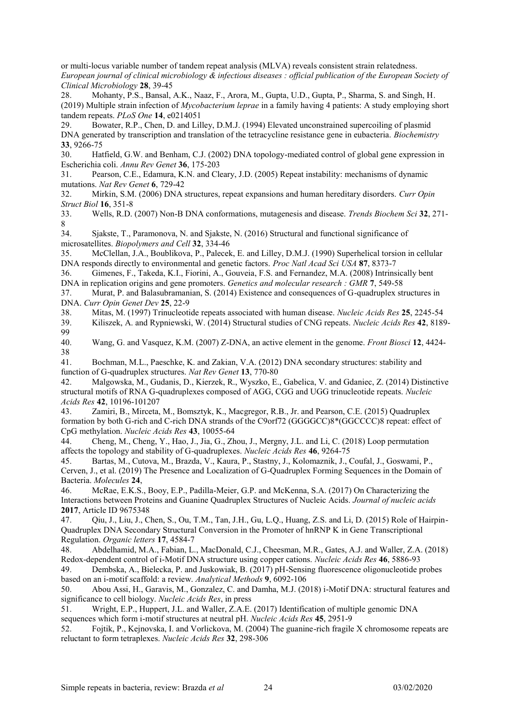or multi-locus variable number of tandem repeat analysis (MLVA) reveals consistent strain relatedness. *European journal of clinical microbiology & infectious diseases : official publication of the European Society of Clinical Microbiology* **28**, 39-45

28. Mohanty, P.S., Bansal, A.K., Naaz, F., Arora, M., Gupta, U.D., Gupta, P., Sharma, S. and Singh, H. (2019) Multiple strain infection of *Mycobacterium leprae* in a family having 4 patients: A study employing short tandem repeats. *PLoS One* **14**, e0214051

29. Bowater, R.P., Chen, D. and Lilley, D.M.J. (1994) Elevated unconstrained supercoiling of plasmid DNA generated by transcription and translation of the tetracycline resistance gene in eubacteria. *Biochemistry* **33**, 9266-75

30. Hatfield, G.W. and Benham, C.J. (2002) DNA topology-mediated control of global gene expression in Escherichia coli. *Annu Rev Genet* **36**, 175-203

31. Pearson, C.E., Edamura, K.N. and Cleary, J.D. (2005) Repeat instability: mechanisms of dynamic mutations. *Nat Rev Genet* **6**, 729-42

32. Mirkin, S.M. (2006) DNA structures, repeat expansions and human hereditary disorders. *Curr Opin Struct Biol* **16**, 351-8

33. Wells, R.D. (2007) Non-B DNA conformations, mutagenesis and disease. *Trends Biochem Sci* **32**, 271- 8

34. Sjakste, T., Paramonova, N. and Sjakste, N. (2016) Structural and functional significance of microsatellites. *Biopolymers and Cell* **32**, 334-46

35. McClellan, J.A., Boublikova, P., Palecek, E. and Lilley, D.M.J. (1990) Superhelical torsion in cellular DNA responds directly to environmental and genetic factors. *Proc Natl Acad Sci USA* **87**, 8373-7

36. Gimenes, F., Takeda, K.I., Fiorini, A., Gouveia, F.S. and Fernandez, M.A. (2008) Intrinsically bent DNA in replication origins and gene promoters. *Genetics and molecular research : GMR* **7**, 549-58

37. Murat, P. and Balasubramanian, S. (2014) Existence and consequences of G-quadruplex structures in DNA. *Curr Opin Genet Dev* **25**, 22-9

38. Mitas, M. (1997) Trinucleotide repeats associated with human disease. *Nucleic Acids Res* **25**, 2245-54

39. Kiliszek, A. and Rypniewski, W. (2014) Structural studies of CNG repeats. *Nucleic Acids Res* **42**, 8189- 99<br>40.

40. Wang, G. and Vasquez, K.M. (2007) Z-DNA, an active element in the genome. *Front Biosci* **12**, 4424- 38

41. Bochman, M.L., Paeschke, K. and Zakian, V.A. (2012) DNA secondary structures: stability and function of G-quadruplex structures. *Nat Rev Genet* **13**, 770-80

42. Malgowska, M., Gudanis, D., Kierzek, R., Wyszko, E., Gabelica, V. and Gdaniec, Z. (2014) Distinctive structural motifs of RNA G-quadruplexes composed of AGG, CGG and UGG trinucleotide repeats. *Nucleic Acids Res* **42**, 10196-101207

43. Zamiri, B., Mirceta, M., Bomsztyk, K., Macgregor, R.B., Jr. and Pearson, C.E. (2015) Quadruplex formation by both G-rich and C-rich DNA strands of the C9orf72 (GGGGCC)8\*(GGCCCC)8 repeat: effect of CpG methylation. *Nucleic Acids Res* **43**, 10055-64

44. Cheng, M., Cheng, Y., Hao, J., Jia, G., Zhou, J., Mergny, J.L. and Li, C. (2018) Loop permutation affects the topology and stability of G-quadruplexes. *Nucleic Acids Res* **46**, 9264-75

45. Bartas, M., Cutova, M., Brazda, V., Kaura, P., Stastny, J., Kolomaznik, J., Coufal, J., Goswami, P., Cerven, J., et al. (2019) The Presence and Localization of G-Quadruplex Forming Sequences in the Domain of Bacteria. *Molecules* **24**,

46. McRae, E.K.S., Booy, E.P., Padilla-Meier, G.P. and McKenna, S.A. (2017) On Characterizing the Interactions between Proteins and Guanine Quadruplex Structures of Nucleic Acids. *Journal of nucleic acids* **2017**, Article ID 9675348

47. Qiu, J., Liu, J., Chen, S., Ou, T.M., Tan, J.H., Gu, L.Q., Huang, Z.S. and Li, D. (2015) Role of Hairpin-Quadruplex DNA Secondary Structural Conversion in the Promoter of hnRNP K in Gene Transcriptional Regulation. *Organic letters* **17**, 4584-7

48. Abdelhamid, M.A., Fabian, L., MacDonald, C.J., Cheesman, M.R., Gates, A.J. and Waller, Z.A. (2018) Redox-dependent control of i-Motif DNA structure using copper cations. *Nucleic Acids Res* **46**, 5886-93

49. Dembska, A., Bielecka, P. and Juskowiak, B. (2017) pH-Sensing fluorescence oligonucleotide probes based on an i-motif scaffold: a review. *Analytical Methods* **9**, 6092-106

50. Abou Assi, H., Garavis, M., Gonzalez, C. and Damha, M.J. (2018) i-Motif DNA: structural features and significance to cell biology. *Nucleic Acids Res*, in press

51. Wright, E.P., Huppert, J.L. and Waller, Z.A.E. (2017) Identification of multiple genomic DNA sequences which form i-motif structures at neutral pH. *Nucleic Acids Res* **45**, 2951-9

52. Fojtik, P., Kejnovska, I. and Vorlickova, M. (2004) The guanine-rich fragile X chromosome repeats are reluctant to form tetraplexes. *Nucleic Acids Res* **32**, 298-306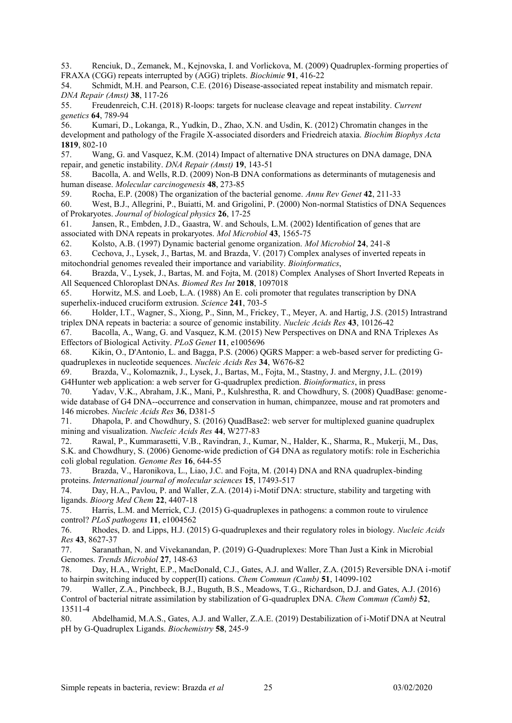53. Renciuk, D., Zemanek, M., Kejnovska, I. and Vorlickova, M. (2009) Quadruplex-forming properties of FRAXA (CGG) repeats interrupted by (AGG) triplets. *Biochimie* **91**, 416-22

54. Schmidt, M.H. and Pearson, C.E. (2016) Disease-associated repeat instability and mismatch repair. *DNA Repair (Amst)* **38**, 117-26

55. Freudenreich, C.H. (2018) R-loops: targets for nuclease cleavage and repeat instability. *Current genetics* **64**, 789-94

56. Kumari, D., Lokanga, R., Yudkin, D., Zhao, X.N. and Usdin, K. (2012) Chromatin changes in the development and pathology of the Fragile X-associated disorders and Friedreich ataxia. *Biochim Biophys Acta* **1819**, 802-10

57. Wang, G. and Vasquez, K.M. (2014) Impact of alternative DNA structures on DNA damage, DNA repair, and genetic instability. *DNA Repair (Amst)* **19**, 143-51

58. Bacolla, A. and Wells, R.D. (2009) Non-B DNA conformations as determinants of mutagenesis and human disease. *Molecular carcinogenesis* **48**, 273-85

59. Rocha, E.P. (2008) The organization of the bacterial genome. *Annu Rev Genet* **42**, 211-33

60. West, B.J., Allegrini, P., Buiatti, M. and Grigolini, P. (2000) Non-normal Statistics of DNA Sequences of Prokaryotes. *Journal of biological physics* **26**, 17-25

61. Jansen, R., Embden, J.D., Gaastra, W. and Schouls, L.M. (2002) Identification of genes that are associated with DNA repeats in prokaryotes. *Mol Microbiol* **43**, 1565-75

62. Kolsto, A.B. (1997) Dynamic bacterial genome organization. *Mol Microbiol* **24**, 241-8

63. Cechova, J., Lysek, J., Bartas, M. and Brazda, V. (2017) Complex analyses of inverted repeats in mitochondrial genomes revealed their importance and variability. *Bioinformatics*,

64. Brazda, V., Lysek, J., Bartas, M. and Fojta, M. (2018) Complex Analyses of Short Inverted Repeats in All Sequenced Chloroplast DNAs. *Biomed Res Int* **2018**, 1097018

65. Horwitz, M.S. and Loeb, L.A. (1988) An E. coli promoter that regulates transcription by DNA superhelix-induced cruciform extrusion. *Science* **241**, 703-5

66. Holder, I.T., Wagner, S., Xiong, P., Sinn, M., Frickey, T., Meyer, A. and Hartig, J.S. (2015) Intrastrand triplex DNA repeats in bacteria: a source of genomic instability. *Nucleic Acids Res* **43**, 10126-42

67. Bacolla, A., Wang, G. and Vasquez, K.M. (2015) New Perspectives on DNA and RNA Triplexes As Effectors of Biological Activity. *PLoS Genet* **11**, e1005696

68. Kikin, O., D'Antonio, L. and Bagga, P.S. (2006) QGRS Mapper: a web-based server for predicting Gquadruplexes in nucleotide sequences. *Nucleic Acids Res* **34**, W676-82

69. Brazda, V., Kolomaznik, J., Lysek, J., Bartas, M., Fojta, M., Stastny, J. and Mergny, J.L. (2019) G4Hunter web application: a web server for G-quadruplex prediction. *Bioinformatics*, in press

70. Yadav, V.K., Abraham, J.K., Mani, P., Kulshrestha, R. and Chowdhury, S. (2008) QuadBase: genomewide database of G4 DNA--occurrence and conservation in human, chimpanzee, mouse and rat promoters and 146 microbes. *Nucleic Acids Res* **36**, D381-5

71. Dhapola, P. and Chowdhury, S. (2016) QuadBase2: web server for multiplexed guanine quadruplex mining and visualization. *Nucleic Acids Res* **44**, W277-83

72. Rawal, P., Kummarasetti, V.B., Ravindran, J., Kumar, N., Halder, K., Sharma, R., Mukerji, M., Das, S.K. and Chowdhury, S. (2006) Genome-wide prediction of G4 DNA as regulatory motifs: role in Escherichia coli global regulation. *Genome Res* **16**, 644-55

73. Brazda, V., Haronikova, L., Liao, J.C. and Fojta, M. (2014) DNA and RNA quadruplex-binding proteins. *International journal of molecular sciences* **15**, 17493-517

74. Day, H.A., Pavlou, P. and Waller, Z.A. (2014) i-Motif DNA: structure, stability and targeting with ligands. *Bioorg Med Chem* **22**, 4407-18

75. Harris, L.M. and Merrick, C.J. (2015) G-quadruplexes in pathogens: a common route to virulence control? *PLoS pathogens* **11**, e1004562

76. Rhodes, D. and Lipps, H.J. (2015) G-quadruplexes and their regulatory roles in biology. *Nucleic Acids Res* **43**, 8627-37

77. Saranathan, N. and Vivekanandan, P. (2019) G-Quadruplexes: More Than Just a Kink in Microbial Genomes. *Trends Microbiol* **27**, 148-63

78. Day, H.A., Wright, E.P., MacDonald, C.J., Gates, A.J. and Waller, Z.A. (2015) Reversible DNA i-motif to hairpin switching induced by copper(II) cations. *Chem Commun (Camb)* **51**, 14099-102

79. Waller, Z.A., Pinchbeck, B.J., Buguth, B.S., Meadows, T.G., Richardson, D.J. and Gates, A.J. (2016) Control of bacterial nitrate assimilation by stabilization of G-quadruplex DNA. *Chem Commun (Camb)* **52**, 13511-4

80. Abdelhamid, M.A.S., Gates, A.J. and Waller, Z.A.E. (2019) Destabilization of i-Motif DNA at Neutral pH by G-Quadruplex Ligands. *Biochemistry* **58**, 245-9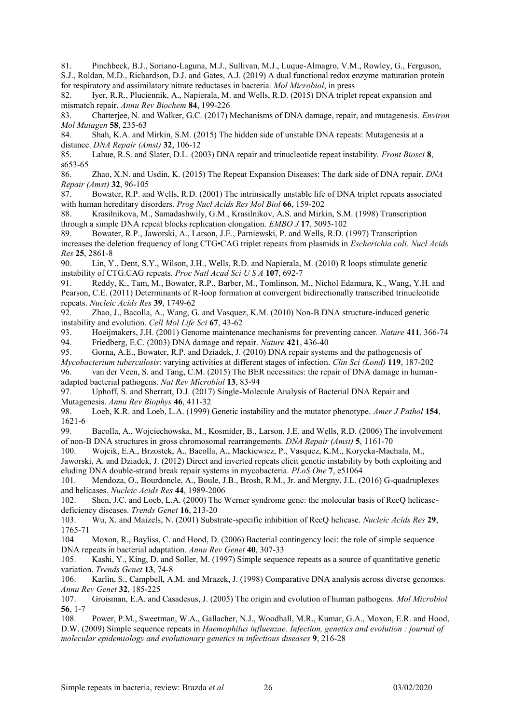81. Pinchbeck, B.J., Soriano-Laguna, M.J., Sullivan, M.J., Luque-Almagro, V.M., Rowley, G., Ferguson, S.J., Roldan, M.D., Richardson, D.J. and Gates, A.J. (2019) A dual functional redox enzyme maturation protein for respiratory and assimilatory nitrate reductases in bacteria. *Mol Microbiol*, in press

82. Iyer, R.R., Pluciennik, A., Napierala, M. and Wells, R.D. (2015) DNA triplet repeat expansion and mismatch repair. *Annu Rev Biochem* **84**, 199-226

83. Chatterjee, N. and Walker, G.C. (2017) Mechanisms of DNA damage, repair, and mutagenesis. *Environ Mol Mutagen* **58**, 235-63

84. Shah, K.A. and Mirkin, S.M. (2015) The hidden side of unstable DNA repeats: Mutagenesis at a distance. *DNA Repair (Amst)* **32**, 106-12

85. Lahue, R.S. and Slater, D.L. (2003) DNA repair and trinucleotide repeat instability. *Front Biosci* **8**, s653-65

86. Zhao, X.N. and Usdin, K. (2015) The Repeat Expansion Diseases: The dark side of DNA repair. *DNA Repair (Amst)* **32**, 96-105

87. Bowater, R.P. and Wells, R.D. (2001) The intrinsically unstable life of DNA triplet repeats associated with human hereditary disorders. *Prog Nucl Acids Res Mol Biol* **66**, 159-202

88. Krasilnikova, M., Samadashwily, G.M., Krasilnikov, A.S. and Mirkin, S.M. (1998) Transcription through a simple DNA repeat blocks replication elongation. *EMBO J* **17**, 5095-102

89. Bowater, R.P., Jaworski, A., Larson, J.E., Parniewski, P. and Wells, R.D. (1997) Transcription increases the deletion frequency of long CTG•CAG triplet repeats from plasmids in *Escherichia coli*. *Nucl Acids Res* **25**, 2861-8

90. Lin, Y., Dent, S.Y., Wilson, J.H., Wells, R.D. and Napierala, M. (2010) R loops stimulate genetic instability of CTG.CAG repeats. *Proc Natl Acad Sci U S A* **107**, 692-7

91. Reddy, K., Tam, M., Bowater, R.P., Barber, M., Tomlinson, M., Nichol Edamura, K., Wang, Y.H. and Pearson, C.E. (2011) Determinants of R-loop formation at convergent bidirectionally transcribed trinucleotide repeats. *Nucleic Acids Res* **39**, 1749-62

92. Zhao, J., Bacolla, A., Wang, G. and Vasquez, K.M. (2010) Non-B DNA structure-induced genetic instability and evolution. *Cell Mol Life Sci* **67**, 43-62

93. Hoeijmakers, J.H. (2001) Genome maintenance mechanisms for preventing cancer. *Nature* **411**, 366-74 94. Friedberg, E.C. (2003) DNA damage and repair. *Nature* **421**, 436-40

95. Gorna, A.E., Bowater, R.P. and Dziadek, J. (2010) DNA repair systems and the pathogenesis of *Mycobacterium tuberculosis*: varying activities at different stages of infection. *Clin Sci (Lond)* **119**, 187-202 96. van der Veen, S. and Tang, C.M. (2015) The BER necessities: the repair of DNA damage in human-

adapted bacterial pathogens. *Nat Rev Microbiol* **13**, 83-94

97. Uphoff, S. and Sherratt, D.J. (2017) Single-Molecule Analysis of Bacterial DNA Repair and Mutagenesis. *Annu Rev Biophys* **46**, 411-32

98. Loeb, K.R. and Loeb, L.A. (1999) Genetic instability and the mutator phenotype. *Amer J Pathol* **154**, 1621-6

99. Bacolla, A., Wojciechowska, M., Kosmider, B., Larson, J.E. and Wells, R.D. (2006) The involvement of non-B DNA structures in gross chromosomal rearrangements. *DNA Repair (Amst)* **5**, 1161-70

100. Wojcik, E.A., Brzostek, A., Bacolla, A., Mackiewicz, P., Vasquez, K.M., Korycka-Machala, M., Jaworski, A. and Dziadek, J. (2012) Direct and inverted repeats elicit genetic instability by both exploiting and eluding DNA double-strand break repair systems in mycobacteria. *PLoS One* **7**, e51064

101. Mendoza, O., Bourdoncle, A., Boule, J.B., Brosh, R.M., Jr. and Mergny, J.L. (2016) G-quadruplexes and helicases. *Nucleic Acids Res* **44**, 1989-2006

102. Shen, J.C. and Loeb, L.A. (2000) The Werner syndrome gene: the molecular basis of RecQ helicasedeficiency diseases. *Trends Genet* **16**, 213-20

103. Wu, X. and Maizels, N. (2001) Substrate-specific inhibition of RecQ helicase. *Nucleic Acids Res* **29**, 1765-71

104. Moxon, R., Bayliss, C. and Hood, D. (2006) Bacterial contingency loci: the role of simple sequence DNA repeats in bacterial adaptation. *Annu Rev Genet* **40**, 307-33

105. Kashi, Y., King, D. and Soller, M. (1997) Simple sequence repeats as a source of quantitative genetic variation. *Trends Genet* **13**, 74-8

106. Karlin, S., Campbell, A.M. and Mrazek, J. (1998) Comparative DNA analysis across diverse genomes. *Annu Rev Genet* **32**, 185-225

107. Groisman, E.A. and Casadesus, J. (2005) The origin and evolution of human pathogens. *Mol Microbiol* **56**, 1-7

108. Power, P.M., Sweetman, W.A., Gallacher, N.J., Woodhall, M.R., Kumar, G.A., Moxon, E.R. and Hood, D.W. (2009) Simple sequence repeats in *Haemophilus influenzae*. *Infection, genetics and evolution : journal of molecular epidemiology and evolutionary genetics in infectious diseases* **9**, 216-28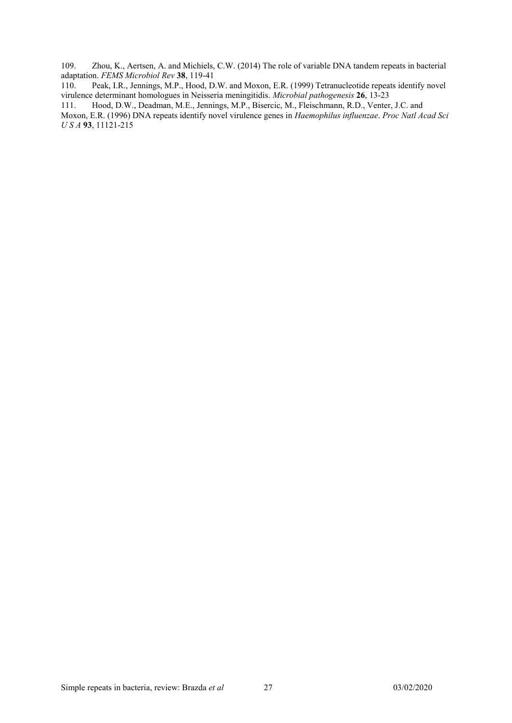109. Zhou, K., Aertsen, A. and Michiels, C.W. (2014) The role of variable DNA tandem repeats in bacterial adaptation. *FEMS Microbiol Rev* **38**, 119-41

Peak, I.R., Jennings, M.P., Hood, D.W. and Moxon, E.R. (1999) Tetranucleotide repeats identify novel virulence determinant homologues in Neisseria meningitidis. *Microbial pathogenesis* **26**, 13-23

111. Hood, D.W., Deadman, M.E., Jennings, M.P., Bisercic, M., Fleischmann, R.D., Venter, J.C. and

Moxon, E.R. (1996) DNA repeats identify novel virulence genes in *Haemophilus influenzae*. *Proc Natl Acad Sci U S A* **93**, 11121-215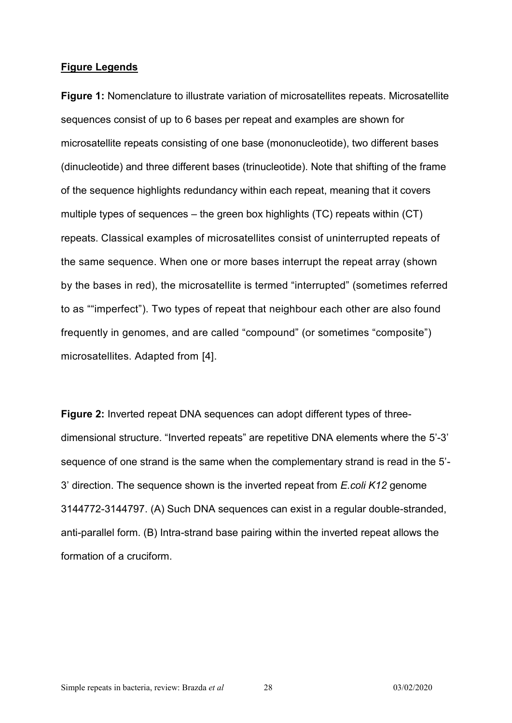#### **Figure Legends**

**Figure 1:** Nomenclature to illustrate variation of microsatellites repeats. Microsatellite sequences consist of up to 6 bases per repeat and examples are shown for microsatellite repeats consisting of one base (mononucleotide), two different bases (dinucleotide) and three different bases (trinucleotide). Note that shifting of the frame of the sequence highlights redundancy within each repeat, meaning that it covers multiple types of sequences – the green box highlights (TC) repeats within (CT) repeats. Classical examples of microsatellites consist of uninterrupted repeats of the same sequence. When one or more bases interrupt the repeat array (shown by the bases in red), the microsatellite is termed "interrupted" (sometimes referred to as ""imperfect"). Two types of repeat that neighbour each other are also found frequently in genomes, and are called "compound" (or sometimes "composite") microsatellites. Adapted from [4].

**Figure 2:** Inverted repeat DNA sequences can adopt different types of threedimensional structure. "Inverted repeats" are repetitive DNA elements where the 5'-3' sequence of one strand is the same when the complementary strand is read in the 5'- 3' direction. The sequence shown is the inverted repeat from *E.coli K12* genome 3144772-3144797. (A) Such DNA sequences can exist in a regular double-stranded, anti-parallel form. (B) Intra-strand base pairing within the inverted repeat allows the formation of a cruciform.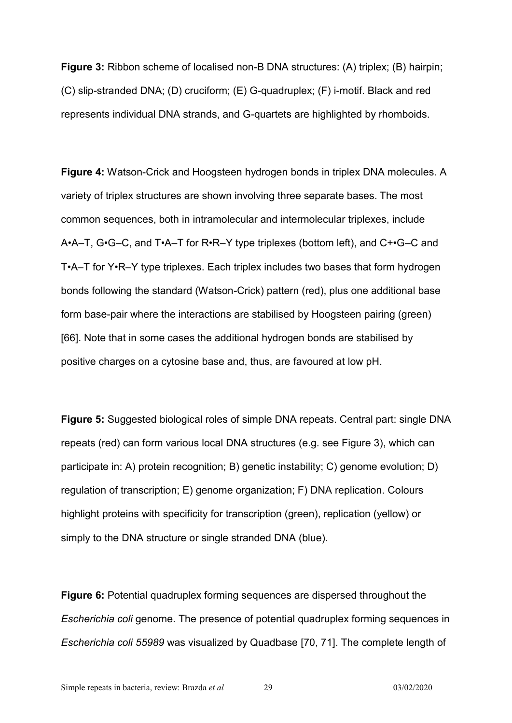**Figure 3:** Ribbon scheme of localised non-B DNA structures: (A) triplex; (B) hairpin; (C) slip-stranded DNA; (D) cruciform; (E) G-quadruplex; (F) i-motif. Black and red represents individual DNA strands, and G-quartets are highlighted by rhomboids.

**Figure 4:** Watson-Crick and Hoogsteen hydrogen bonds in triplex DNA molecules. A variety of triplex structures are shown involving three separate bases. The most common sequences, both in intramolecular and intermolecular triplexes, include A•A–T, G•G–C, and T•A–T for R•R–Y type triplexes (bottom left), and C+•G–C and T•A–T for Y•R–Y type triplexes. Each triplex includes two bases that form hydrogen bonds following the standard (Watson-Crick) pattern (red), plus one additional base form base-pair where the interactions are stabilised by Hoogsteen pairing (green) [66]. Note that in some cases the additional hydrogen bonds are stabilised by positive charges on a cytosine base and, thus, are favoured at low pH.

**Figure 5:** Suggested biological roles of simple DNA repeats. Central part: single DNA repeats (red) can form various local DNA structures (e.g. see Figure 3), which can participate in: A) protein recognition; B) genetic instability; C) genome evolution; D) regulation of transcription; E) genome organization; F) DNA replication. Colours highlight proteins with specificity for transcription (green), replication (yellow) or simply to the DNA structure or single stranded DNA (blue).

**Figure 6:** Potential quadruplex forming sequences are dispersed throughout the *Escherichia coli* genome. The presence of potential quadruplex forming sequences in *Escherichia coli 55989* was visualized by Quadbase [70, 71]. The complete length of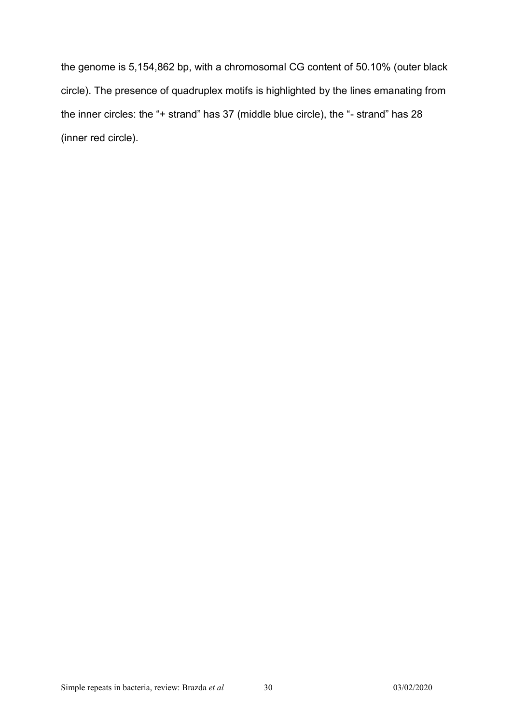the genome is 5,154,862 bp, with a chromosomal CG content of 50.10% (outer black circle). The presence of quadruplex motifs is highlighted by the lines emanating from the inner circles: the "+ strand" has 37 (middle blue circle), the "- strand" has 28 (inner red circle).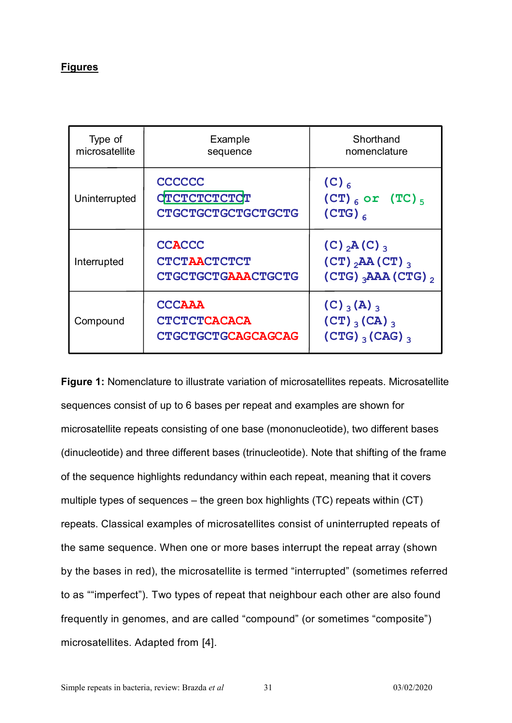### **Figures**

| Type of<br>microsatellite | Example<br>sequence                                               | Shorthand<br>nomenclature                                                                                                           |
|---------------------------|-------------------------------------------------------------------|-------------------------------------------------------------------------------------------------------------------------------------|
| Uninterrupted             | <b>CCCCCC</b><br>CTCTCTCTCTCT<br><b>CTGCTGCTGCTGCTGCTG</b>        | $(C)$ <sub>6</sub><br>$(CT)_{6}$ or $(TC)_{5}$<br>$(CTG)_{6}$                                                                       |
| Interrupted               | <b>CCACCC</b><br><b>CTCTAACTCTCT</b><br><b>CTGCTGCTGAAACTGCTG</b> | $(C)$ <sub>2</sub> A(C) <sub>3</sub><br>$(CT)$ <sub>2</sub> AA $(CT)$ <sub>3</sub><br>$(CTG)$ <sub>3</sub> AAA $(CTG)$ <sub>2</sub> |
| Compound                  | <b>CCCAAA</b><br><b>CTCTCTCACACA</b><br><b>CTGCTGCTGCAGCAGCAG</b> | $(C)$ $_{3}$ (A) $_{3}$<br>$(CT)$ (CA) 3<br>$(CTG)$ <sub>3</sub> $(CAG)$ <sub>3</sub>                                               |

**Figure 1:** Nomenclature to illustrate variation of microsatellites repeats. Microsatellite sequences consist of up to 6 bases per repeat and examples are shown for microsatellite repeats consisting of one base (mononucleotide), two different bases (dinucleotide) and three different bases (trinucleotide). Note that shifting of the frame of the sequence highlights redundancy within each repeat, meaning that it covers multiple types of sequences – the green box highlights (TC) repeats within (CT) repeats. Classical examples of microsatellites consist of uninterrupted repeats of the same sequence. When one or more bases interrupt the repeat array (shown by the bases in red), the microsatellite is termed "interrupted" (sometimes referred to as ""imperfect"). Two types of repeat that neighbour each other are also found frequently in genomes, and are called "compound" (or sometimes "composite") microsatellites. Adapted from [4].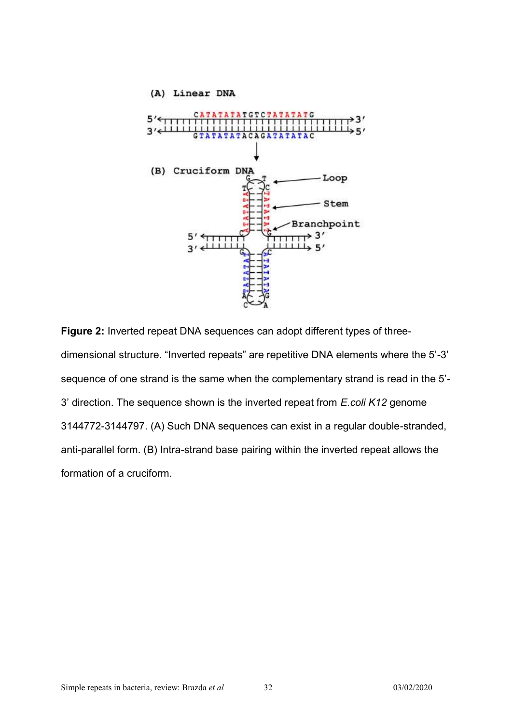

**Figure 2:** Inverted repeat DNA sequences can adopt different types of threedimensional structure. "Inverted repeats" are repetitive DNA elements where the 5'-3' sequence of one strand is the same when the complementary strand is read in the 5'- 3' direction. The sequence shown is the inverted repeat from *E.coli K12* genome 3144772-3144797. (A) Such DNA sequences can exist in a regular double-stranded, anti-parallel form. (B) Intra-strand base pairing within the inverted repeat allows the formation of a cruciform.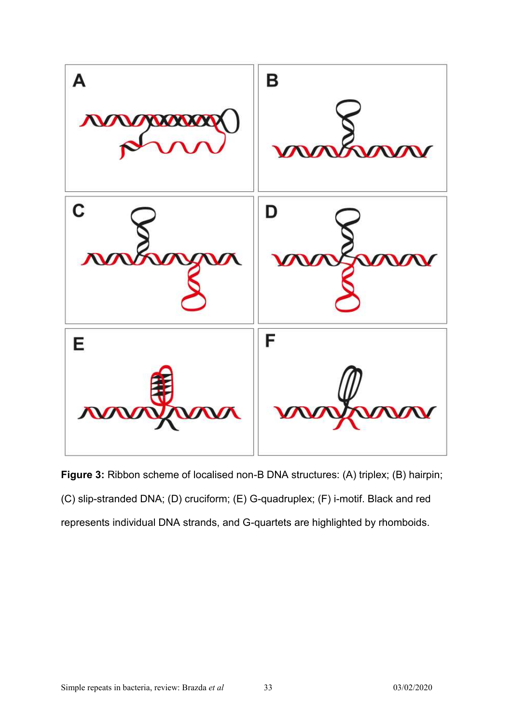

**Figure 3:** Ribbon scheme of localised non-B DNA structures: (A) triplex; (B) hairpin; (C) slip-stranded DNA; (D) cruciform; (E) G-quadruplex; (F) i-motif. Black and red represents individual DNA strands, and G-quartets are highlighted by rhomboids.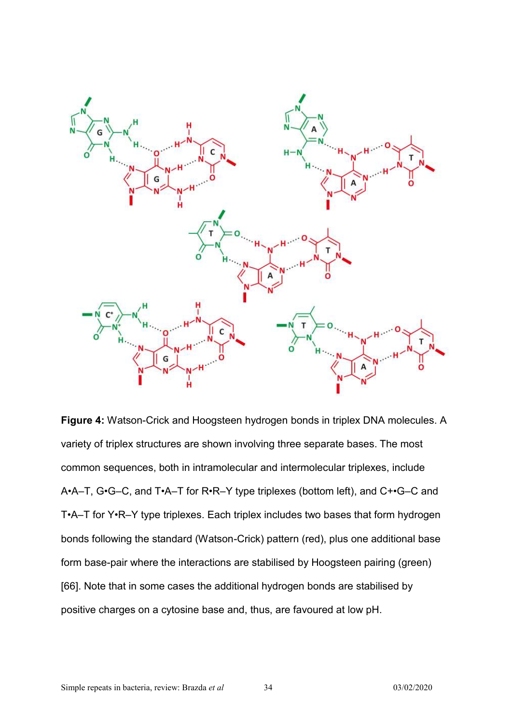

**Figure 4:** Watson-Crick and Hoogsteen hydrogen bonds in triplex DNA molecules. A variety of triplex structures are shown involving three separate bases. The most common sequences, both in intramolecular and intermolecular triplexes, include A•A–T, G•G–C, and T•A–T for R•R–Y type triplexes (bottom left), and C+•G–C and T•A–T for Y•R–Y type triplexes. Each triplex includes two bases that form hydrogen bonds following the standard (Watson-Crick) pattern (red), plus one additional base form base-pair where the interactions are stabilised by Hoogsteen pairing (green) [66]. Note that in some cases the additional hydrogen bonds are stabilised by positive charges on a cytosine base and, thus, are favoured at low pH.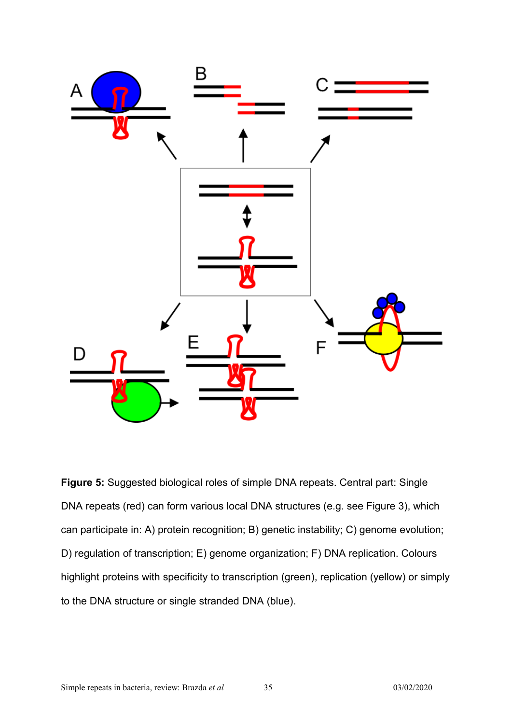

**Figure 5:** Suggested biological roles of simple DNA repeats. Central part: Single DNA repeats (red) can form various local DNA structures (e.g. see Figure 3), which can participate in: A) protein recognition; B) genetic instability; C) genome evolution; D) regulation of transcription; E) genome organization; F) DNA replication. Colours highlight proteins with specificity to transcription (green), replication (yellow) or simply to the DNA structure or single stranded DNA (blue).